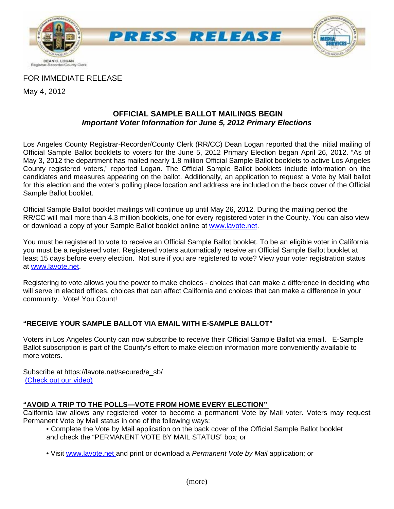

FOR IMMEDIATE RELEASE

May 4, 2012

#### **OFFICIAL SAMPLE BALLOT MAILINGS BEGIN**  *Important Voter Information for June 5, 2012 Primary Elections*

Los Angeles County Registrar-Recorder/County Clerk (RR/CC) Dean Logan reported that the initial mailing of Official Sample Ballot booklets to voters for the June 5, 2012 Primary Election began April 26, 2012. "As of May 3, 2012 the department has mailed nearly 1.8 million Official Sample Ballot booklets to active Los Angeles County registered voters," reported Logan. The Official Sample Ballot booklets include information on the candidates and measures appearing on the ballot. Additionally, an application to request a Vote by Mail ballot for this election and the voter's polling place location and address are included on the back cover of the Official Sample Ballot booklet.

Official Sample Ballot booklet mailings will continue up until May 26, 2012. During the mailing period the RR/CC will mail more than 4.3 million booklets, one for every registered voter in the County. You can also view or download a copy of your Sample Ballot booklet online at www.lavote.net.

You must be registered to vote to receive an Official Sample Ballot booklet. To be an eligible voter in California you must be a registered voter. Registered voters automatically receive an Official Sample Ballot booklet at least 15 days before every election. Not sure if you are registered to vote? View your voter registration status at www.lavote.net.

Registering to vote allows you the power to make choices - choices that can make a difference in deciding who will serve in elected offices, choices that can affect California and choices that can make a difference in your community. Vote! You Count!

# **"RECEIVE YOUR SAMPLE BALLOT VIA EMAIL WITH E-SAMPLE BALLOT"**

Voters in Los Angeles County can now subscribe to receive their Official Sample Ballot via email. E-Sample Ballot subscription is part of the County's effort to make election information more conveniently available to more voters.

Subscribe at https://lavote.net/secured/e\_sb/ [\(Check out our video\)](http://www.lavote.net/VOTER/VIDEOS/Default.cfm?VideoID=102)

# **"AVOID A TRIP TO THE POLLS—VOTE FROM HOME EVERY ELECTION"**

California law allows any registered voter to become a permanent Vote by Mail voter. Voters may request Permanent Vote by Mail status in one of the following ways:

- Complete the Vote by Mail application on the back cover of the Official Sample Ballot booklet and check the "PERMANENT VOTE BY MAIL STATUS" box; or
- Visit www.lavote.net and print or download a *Permanent Vote by Mail* application; or